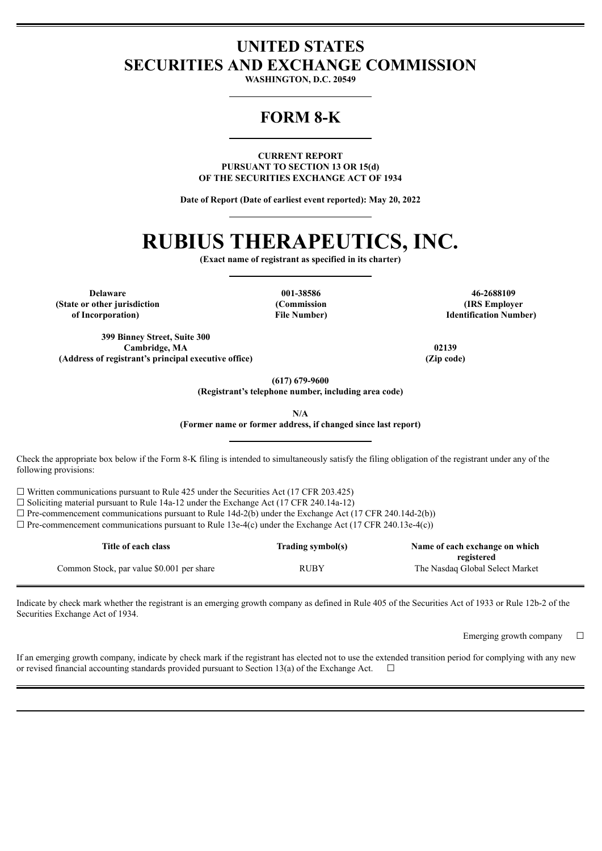# **UNITED STATES SECURITIES AND EXCHANGE COMMISSION**

**WASHINGTON, D.C. 20549**

# **FORM 8-K**

**CURRENT REPORT PURSUANT TO SECTION 13 OR 15(d) OF THE SECURITIES EXCHANGE ACT OF 1934**

**Date of Report (Date of earliest event reported): May 20, 2022**

# **RUBIUS THERAPEUTICS, INC.**

**(Exact name of registrant as specified in its charter)**

**(State or other jurisdiction of Incorporation)**

**(Commission File Number)**

**Delaware 001-38586 46-2688109 (IRS Employer Identification Number)**

**399 Binney Street, Suite 300 Cambridge, MA 02139 (Address of registrant's principal executive office) (Zip code)**

**(617) 679-9600**

**(Registrant's telephone number, including area code)**

**N/A**

**(Former name or former address, if changed since last report)**

Check the appropriate box below if the Form 8-K filing is intended to simultaneously satisfy the filing obligation of the registrant under any of the following provisions:

 $\Box$  Written communications pursuant to Rule 425 under the Securities Act (17 CFR 203.425)

 $\Box$  Soliciting material pursuant to Rule 14a-12 under the Exchange Act (17 CFR 240.14a-12)

 $\Box$  Pre-commencement communications pursuant to Rule 14d-2(b) under the Exchange Act (17 CFR 240.14d-2(b))

 $\Box$  Pre-commencement communications pursuant to Rule 13e-4(c) under the Exchange Act (17 CFR 240.13e-4(c))

| Title of each class                       | Trading symbol(s) | Name of each exchange on which                |
|-------------------------------------------|-------------------|-----------------------------------------------|
| Common Stock, par value \$0.001 per share | <b>RUBY</b>       | registered<br>The Nasdaq Global Select Market |

Indicate by check mark whether the registrant is an emerging growth company as defined in Rule 405 of the Securities Act of 1933 or Rule 12b-2 of the Securities Exchange Act of 1934.

Emerging growth company  $\Box$ 

If an emerging growth company, indicate by check mark if the registrant has elected not to use the extended transition period for complying with any new or revised financial accounting standards provided pursuant to Section 13(a) of the Exchange Act.  $\Box$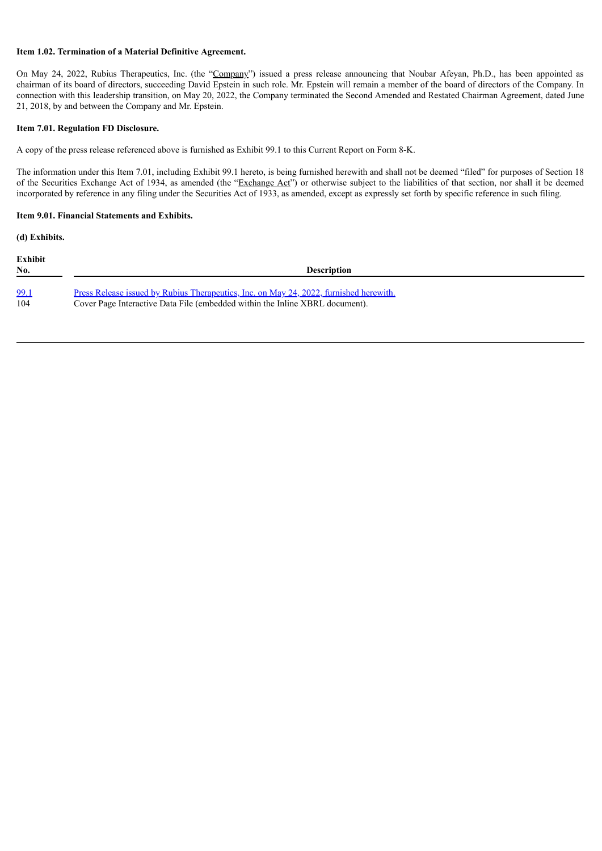# **Item 1.02. Termination of a Material Definitive Agreement.**

On May 24, 2022, Rubius Therapeutics, Inc. (the "Company") issued a press release announcing that Noubar Afeyan, Ph.D., has been appointed as chairman of its board of directors, succeeding David Epstein in such role. Mr. Epstein will remain a member of the board of directors of the Company. In connection with this leadership transition, on May 20, 2022, the Company terminated the Second Amended and Restated Chairman Agreement, dated June 21, 2018, by and between the Company and Mr. Epstein.

## **Item 7.01. Regulation FD Disclosure.**

A copy of the press release referenced above is furnished as Exhibit 99.1 to this Current Report on Form 8-K.

The information under this Item 7.01, including Exhibit 99.1 hereto, is being furnished herewith and shall not be deemed "filed" for purposes of Section 18 of the Securities Exchange Act of 1934, as amended (the "Exchange Act") or otherwise subject to the liabilities of that section, nor shall it be deemed incorporated by reference in any filing under the Securities Act of 1933, as amended, except as expressly set forth by specific reference in such filing.

# **Item 9.01. Financial Statements and Exhibits.**

**(d) Exhibits.**

| <b>Exhibit</b><br>No. | <b>Description</b>                                                                            |
|-----------------------|-----------------------------------------------------------------------------------------------|
| 99.1                  | <u>Press Release issued by Rubius Therapeutics, Inc. on May 24, 2022, furnished herewith.</u> |
| 104                   | Cover Page Interactive Data File (embedded within the Inline XBRL document).                  |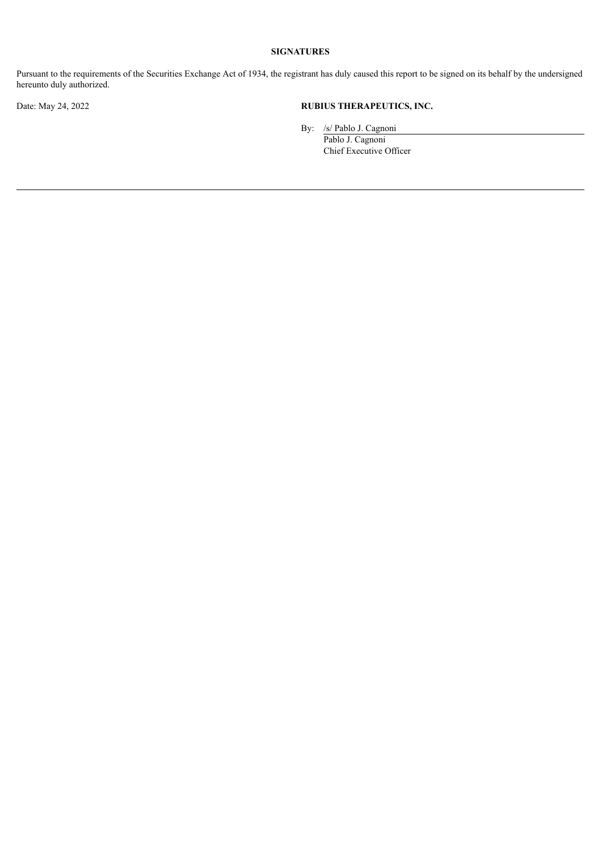# **SIGNATURES**

Pursuant to the requirements of the Securities Exchange Act of 1934, the registrant has duly caused this report to be signed on its behalf by the undersigned hereunto duly authorized.

# Date: May 24, 2022 **RUBIUS THERAPEUTICS, INC.**

By: /s/ Pablo J. Cagnoni

Pablo J. Cagnoni Chief Executive Officer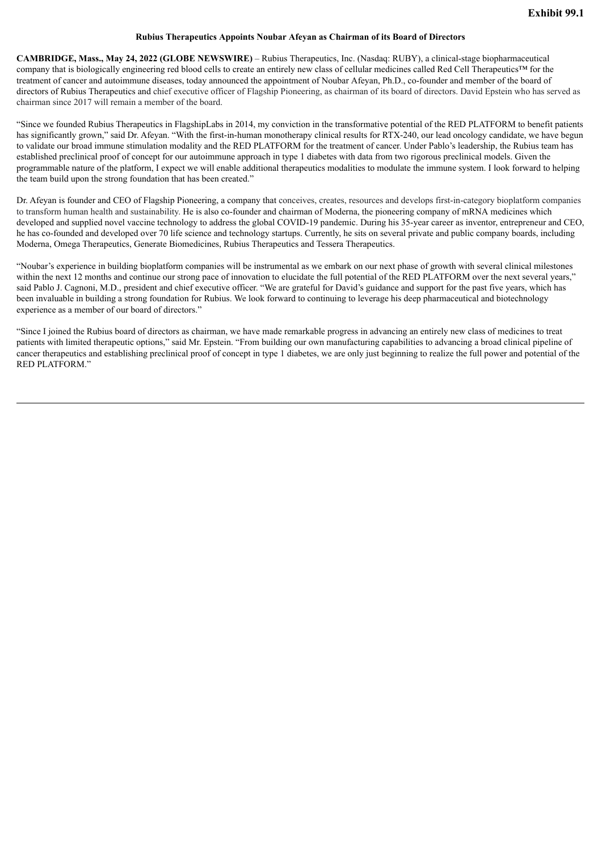### **Rubius Therapeutics Appoints Noubar Afeyan as Chairman of its Board of Directors**

<span id="page-3-0"></span>**CAMBRIDGE, Mass., May 24, 2022 (GLOBE NEWSWIRE)** – Rubius Therapeutics, Inc. (Nasdaq: RUBY), a clinical-stage biopharmaceutical company that is biologically engineering red blood cells to create an entirely new class of cellular medicines called Red Cell Therapeutics™ for the treatment of cancer and autoimmune diseases, today announced the appointment of Noubar Afeyan, Ph.D., co-founder and member of the board of directors of Rubius Therapeutics and chief executive officer of Flagship Pioneering, as chairman of its board of directors. David Epstein who has served as chairman since 2017 will remain a member of the board.

"Since we founded Rubius Therapeutics in FlagshipLabs in 2014, my conviction in the transformative potential of the RED PLATFORM to benefit patients has significantly grown," said Dr. Afeyan. "With the first-in-human monotherapy clinical results for RTX-240, our lead oncology candidate, we have begun to validate our broad immune stimulation modality and the RED PLATFORM for the treatment of cancer. Under Pablo's leadership, the Rubius team has established preclinical proof of concept for our autoimmune approach in type 1 diabetes with data from two rigorous preclinical models. Given the programmable nature of the platform, I expect we will enable additional therapeutics modalities to modulate the immune system. I look forward to helping the team build upon the strong foundation that has been created."

Dr. Afeyan is founder and CEO of Flagship Pioneering, a company that conceives, creates, resources and develops first-in-category bioplatform companies to transform human health and sustainability. He is also co-founder and chairman of Moderna, the pioneering company of mRNA medicines which developed and supplied novel vaccine technology to address the global COVID-19 pandemic. During his 35-year career as inventor, entrepreneur and CEO, he has co-founded and developed over 70 life science and technology startups. Currently, he sits on several private and public company boards, including Moderna, Omega Therapeutics, Generate Biomedicines, Rubius Therapeutics and Tessera Therapeutics.

"Noubar's experience in building bioplatform companies will be instrumental as we embark on our next phase of growth with several clinical milestones within the next 12 months and continue our strong pace of innovation to elucidate the full potential of the RED PLATFORM over the next several years," said Pablo J. Cagnoni, M.D., president and chief executive officer. "We are grateful for David's guidance and support for the past five years, which has been invaluable in building a strong foundation for Rubius. We look forward to continuing to leverage his deep pharmaceutical and biotechnology experience as a member of our board of directors."

"Since I joined the Rubius board of directors as chairman, we have made remarkable progress in advancing an entirely new class of medicines to treat patients with limited therapeutic options," said Mr. Epstein. "From building our own manufacturing capabilities to advancing a broad clinical pipeline of cancer therapeutics and establishing preclinical proof of concept in type 1 diabetes, we are only just beginning to realize the full power and potential of the RED PLATFORM."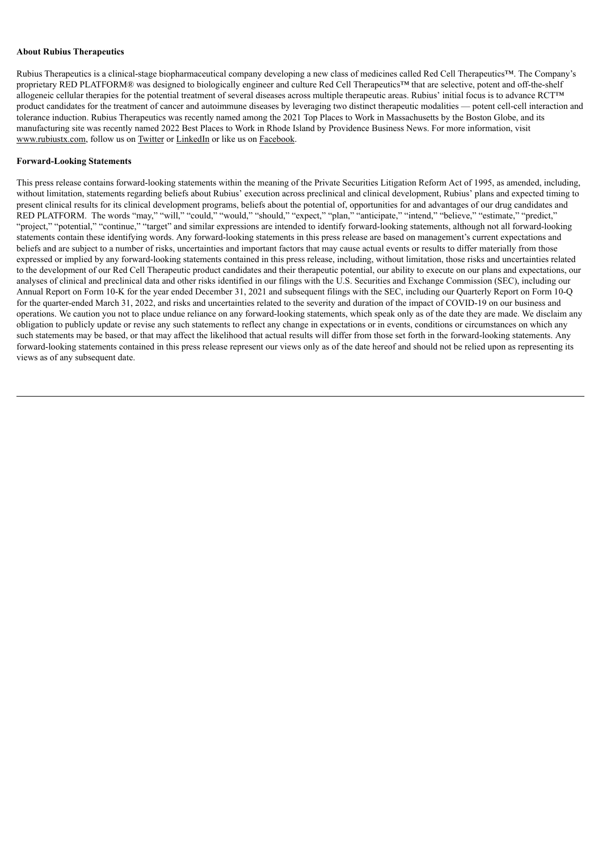### **About Rubius Therapeutics**

Rubius Therapeutics is a clinical-stage biopharmaceutical company developing a new class of medicines called Red Cell Therapeutics™. The Company's proprietary RED PLATFORM® was designed to biologically engineer and culture Red Cell Therapeutics™ that are selective, potent and off-the-shelf allogeneic cellular therapies for the potential treatment of several diseases across multiple therapeutic areas. Rubius' initial focus is to advance RCT™ product candidates for the treatment of cancer and autoimmune diseases by leveraging two distinct therapeutic modalities — potent cell-cell interaction and tolerance induction. Rubius Therapeutics was recently named among the 2021 Top Places to Work in Massachusetts by the Boston Globe, and its manufacturing site was recently named 2022 Best Places to Work in Rhode Island by Providence Business News. For more information, visit www.rubiustx.com, follow us on Twitter or LinkedIn or like us on Facebook.

### **Forward-Looking Statements**

This press release contains forward-looking statements within the meaning of the Private Securities Litigation Reform Act of 1995, as amended, including, without limitation, statements regarding beliefs about Rubius' execution across preclinical and clinical development, Rubius' plans and expected timing to present clinical results for its clinical development programs, beliefs about the potential of, opportunities for and advantages of our drug candidates and RED PLATFORM. The words "may," "will," "could," "would," "should," "expect," "plan," "anticipate," "intend," "believe," "estimate," "predict," "project," "potential," "continue," "target" and similar expressions are intended to identify forward-looking statements, although not all forward-looking statements contain these identifying words. Any forward-looking statements in this press release are based on management's current expectations and beliefs and are subject to a number of risks, uncertainties and important factors that may cause actual events or results to differ materially from those expressed or implied by any forward-looking statements contained in this press release, including, without limitation, those risks and uncertainties related to the development of our Red Cell Therapeutic product candidates and their therapeutic potential, our ability to execute on our plans and expectations, our analyses of clinical and preclinical data and other risks identified in our filings with the U.S. Securities and Exchange Commission (SEC), including our Annual Report on Form 10-K for the year ended December 31, 2021 and subsequent filings with the SEC, including our Quarterly Report on Form 10-Q for the quarter-ended March 31, 2022, and risks and uncertainties related to the severity and duration of the impact of COVID-19 on our business and operations. We caution you not to place undue reliance on any forward-looking statements, which speak only as of the date they are made. We disclaim any obligation to publicly update or revise any such statements to reflect any change in expectations or in events, conditions or circumstances on which any such statements may be based, or that may affect the likelihood that actual results will differ from those set forth in the forward-looking statements. Any forward-looking statements contained in this press release represent our views only as of the date hereof and should not be relied upon as representing its views as of any subsequent date.